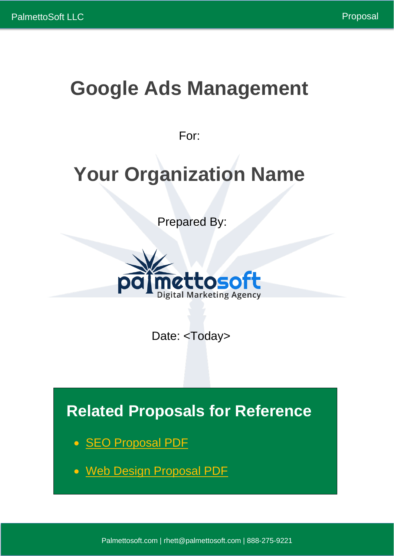# **Google Ads Management**

For:

# **Your Organization Name**

Prepared By:



Date: <Today>

**Related Proposals for Reference**

- [SEO Proposal PDF](https://www.palmettosoft.com/wp-content/uploads/2021/07/Organic-SEO-Proposal.pdf)
- [Web Design Proposal PDF](https://www.palmettosoft.com/wp-content/uploads/2021/07/Web-Design-Proposal.pdf)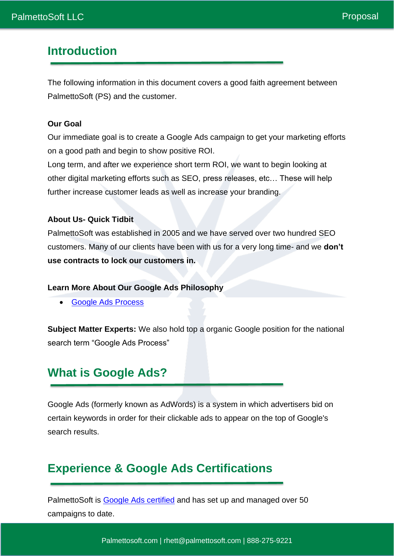# **Introduction**

The following information in this document covers a good faith agreement between PalmettoSoft (PS) and the customer.

#### **Our Goal**

Our immediate goal is to create a Google Ads campaign to get your marketing efforts on a good path and begin to show positive ROI.

Long term, and after we experience short term ROI, we want to begin looking at other digital marketing efforts such as SEO, press releases, etc… These will help further increase customer leads as well as increase your branding.

#### **About Us- Quick Tidbit**

PalmettoSoft was established in 2005 and we have served over two hundred SEO customers. Many of our clients have been with us for a very long time- and we **don't use contracts to lock our customers in.**

#### **Learn More About Our Google Ads Philosophy**

• [Google Ads Process](https://www.palmettosoft.com/google-ads-process-a-step-by-step-guide/)

**Subject Matter Experts:** We also hold top a organic Google position for the national search term "Google Ads Process"

### **What is Google Ads?**

Google Ads (formerly known as AdWords) is a system in which advertisers bid on certain keywords in order for their clickable ads to appear on the top of Google's search results.

### **Experience & Google Ads Certifications**

PalmettoSoft is [Google Ads certified](https://skillshop.exceedlms.com/profiles/dd48d12255e74d1fbb7fd9ff606a2886) and has set up and managed over 50 campaigns to date.

Palmettosoft.com | rhett@palmettosoft.com | 888-275-9221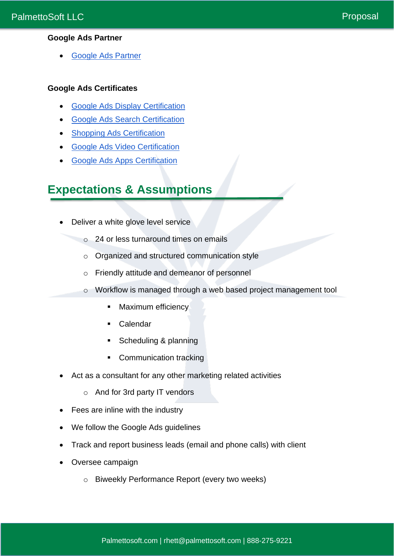### **Google Ads Partner**

• [Google Ads Partner](https://www.google.com/partners/agency?id=2225768752)

#### **Google Ads Certificates**

- [Google Ads Display Certification](https://skillshop.exceedlms.com/student/award/JfEJPib4fZGiq3CtxPeigMhg)
- [Google Ads Search Certification](https://skillshop.exceedlms.com/student/award/iAmnK5XqcpKVHNeHwQG5pB7y)
- [Shopping Ads Certification](https://skillshop.exceedlms.com/student/award/MZzZ9uR3pxHHmXi9xi3Fm6tW)
- [Google Ads Video Certification](https://skillshop.exceedlms.com/student/award/1A2Qe89GUcwz59UdmKfDHDqG)
- **[Google Ads Apps Certification](https://skillshop.exceedlms.com/student/award/7gtpGfJrGadXXQ7fHqb7Bk2C)**

# **Expectations & Assumptions**

- Deliver a white glove level service
	- o 24 or less turnaround times on emails
	- o Organized and structured communication style
	- o Friendly attitude and demeanor of personnel
	- o Workflow is managed through a web based project management tool
		- Maximum efficiency
		- Calendar
		- Scheduling & planning
		- Communication tracking
- Act as a consultant for any other marketing related activities
	- o And for 3rd party IT vendors
- Fees are inline with the industry
- We follow the Google Ads guidelines
- Track and report business leads (email and phone calls) with client
- Oversee campaign
	- o Biweekly Performance Report (every two weeks)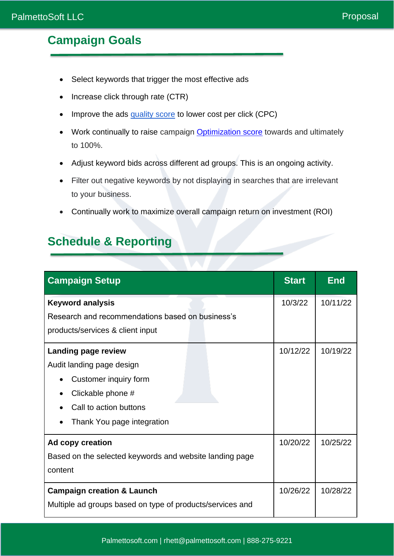# **Campaign Goals**

- Select keywords that trigger the most effective ads
- Increase click through rate (CTR)
- Improve the ads [quality score](https://support.google.com/google-ads/answer/6167118?hl=en) to lower cost per click (CPC)
- Work continually to raise campaign **Optimization score** towards and ultimately to 100%.
- Adjust keyword bids across different ad groups. This is an ongoing activity.
- Filter out negative keywords by not displaying in searches that are irrelevant to your business.
- Continually work to maximize overall campaign return on investment (ROI)

## **Schedule & Reporting**

| <b>Campaign Setup</b>                                     | <b>Start</b> | <b>End</b> |
|-----------------------------------------------------------|--------------|------------|
| <b>Keyword analysis</b>                                   | 10/3/22      | 10/11/22   |
| Research and recommendations based on business's          |              |            |
| products/services & client input                          |              |            |
| Landing page review                                       | 10/12/22     | 10/19/22   |
| Audit landing page design                                 |              |            |
| Customer inquiry form                                     |              |            |
| Clickable phone #                                         |              |            |
| Call to action buttons                                    |              |            |
| Thank You page integration                                |              |            |
| Ad copy creation                                          | 10/20/22     | 10/25/22   |
| Based on the selected keywords and website landing page   |              |            |
| content                                                   |              |            |
| <b>Campaign creation &amp; Launch</b>                     | 10/26/22     | 10/28/22   |
| Multiple ad groups based on type of products/services and |              |            |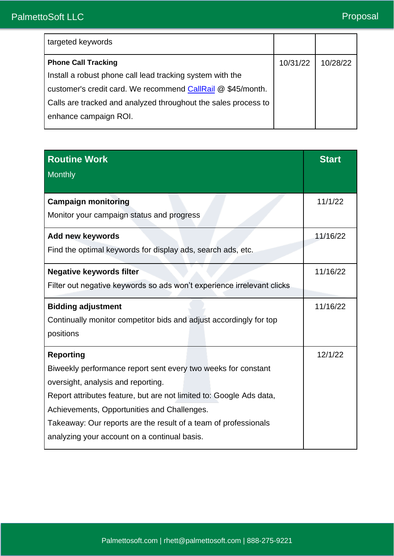| targeted keywords                                              |          |          |
|----------------------------------------------------------------|----------|----------|
| <b>Phone Call Tracking</b>                                     | 10/31/22 | 10/28/22 |
| Install a robust phone call lead tracking system with the      |          |          |
| customer's credit card. We recommend CallRail @ \$45/month.    |          |          |
| Calls are tracked and analyzed throughout the sales process to |          |          |
| enhance campaign ROI.                                          |          |          |

| <b>Routine Work</b><br>Monthly                                          | <b>Start</b> |
|-------------------------------------------------------------------------|--------------|
|                                                                         |              |
| <b>Campaign monitoring</b><br>Monitor your campaign status and progress | 11/1/22      |
|                                                                         |              |
| <b>Add new keywords</b>                                                 | 11/16/22     |
| Find the optimal keywords for display ads, search ads, etc.             |              |
| <b>Negative keywords filter</b>                                         | 11/16/22     |
| Filter out negative keywords so ads won't experience irrelevant clicks  |              |
| <b>Bidding adjustment</b>                                               | 11/16/22     |
| Continually monitor competitor bids and adjust accordingly for top      |              |
| positions                                                               |              |
| <b>Reporting</b>                                                        | 12/1/22      |
| Biweekly performance report sent every two weeks for constant           |              |
| oversight, analysis and reporting.                                      |              |
| Report attributes feature, but are not limited to: Google Ads data,     |              |
| Achievements, Opportunities and Challenges.                             |              |
| Takeaway: Our reports are the result of a team of professionals         |              |
| analyzing your account on a continual basis.                            |              |